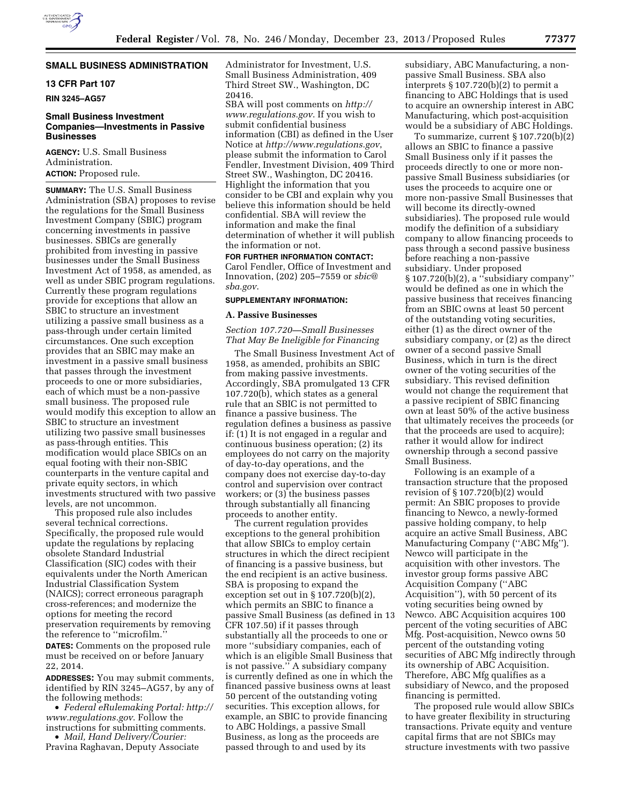# **SMALL BUSINESS ADMINISTRATION**

# **13 CFR Part 107**

**RIN 3245–AG57** 

# **Small Business Investment Companies—Investments in Passive Businesses**

**AGENCY:** U.S. Small Business Administration. **ACTION:** Proposed rule.

**SUMMARY:** The U.S. Small Business Administration (SBA) proposes to revise the regulations for the Small Business Investment Company (SBIC) program concerning investments in passive businesses. SBICs are generally prohibited from investing in passive businesses under the Small Business Investment Act of 1958, as amended, as well as under SBIC program regulations. Currently these program regulations provide for exceptions that allow an SBIC to structure an investment utilizing a passive small business as a pass-through under certain limited circumstances. One such exception provides that an SBIC may make an investment in a passive small business that passes through the investment proceeds to one or more subsidiaries, each of which must be a non-passive small business. The proposed rule would modify this exception to allow an SBIC to structure an investment utilizing two passive small businesses as pass-through entities. This modification would place SBICs on an equal footing with their non-SBIC counterparts in the venture capital and private equity sectors, in which investments structured with two passive levels, are not uncommon.

This proposed rule also includes several technical corrections. Specifically, the proposed rule would update the regulations by replacing obsolete Standard Industrial Classification (SIC) codes with their equivalents under the North American Industrial Classification System (NAICS); correct erroneous paragraph cross-references; and modernize the options for meeting the record preservation requirements by removing the reference to ''microfilm.'' **DATES:** Comments on the proposed rule

must be received on or before January 22, 2014.

**ADDRESSES:** You may submit comments, identified by RIN 3245–AG57, by any of the following methods:

• *Federal eRulemaking Portal: [http://](http://www.regulations.gov)  [www.regulations.gov](http://www.regulations.gov)*. Follow the instructions for submitting comments.

• *Mail, Hand Delivery/Courier:*  Pravina Raghavan, Deputy Associate Administrator for Investment, U.S. Small Business Administration, 409 Third Street SW., Washington, DC 20416.

SBA will post comments on *[http://](http://www.regulations.gov) [www.regulations.gov](http://www.regulations.gov)*. If you wish to submit confidential business information (CBI) as defined in the User Notice at *<http://www.regulations.gov>*, please submit the information to Carol Fendler, Investment Division, 409 Third Street SW., Washington, DC 20416. Highlight the information that you consider to be CBI and explain why you believe this information should be held confidential. SBA will review the information and make the final determination of whether it will publish the information or not.

**FOR FURTHER INFORMATION CONTACT:**  Carol Fendler, Office of Investment and Innovation, (202) 205–7559 or *[sbic@](mailto:sbic@sba.gov)*

# *[sba.gov](mailto:sbic@sba.gov)*. **SUPPLEMENTARY INFORMATION:**

# **A. Passive Businesses**

*Section 107.720—Small Businesses That May Be Ineligible for Financing* 

The Small Business Investment Act of 1958, as amended, prohibits an SBIC from making passive investments. Accordingly, SBA promulgated 13 CFR 107.720(b), which states as a general rule that an SBIC is not permitted to finance a passive business. The regulation defines a business as passive if: (1) It is not engaged in a regular and continuous business operation; (2) its employees do not carry on the majority of day-to-day operations, and the company does not exercise day-to-day control and supervision over contract workers; or (3) the business passes through substantially all financing proceeds to another entity.

The current regulation provides exceptions to the general prohibition that allow SBICs to employ certain structures in which the direct recipient of financing is a passive business, but the end recipient is an active business. SBA is proposing to expand the exception set out in § 107.720(b)(2), which permits an SBIC to finance a passive Small Business (as defined in 13 CFR 107.50) if it passes through substantially all the proceeds to one or more ''subsidiary companies, each of which is an eligible Small Business that is not passive.'' A subsidiary company is currently defined as one in which the financed passive business owns at least 50 percent of the outstanding voting securities. This exception allows, for example, an SBIC to provide financing to ABC Holdings, a passive Small Business, as long as the proceeds are passed through to and used by its

subsidiary, ABC Manufacturing, a nonpassive Small Business. SBA also interprets § 107.720(b)(2) to permit a financing to ABC Holdings that is used to acquire an ownership interest in ABC Manufacturing, which post-acquisition would be a subsidiary of ABC Holdings.

To summarize, current § 107.720(b)(2) allows an SBIC to finance a passive Small Business only if it passes the proceeds directly to one or more nonpassive Small Business subsidiaries (or uses the proceeds to acquire one or more non-passive Small Businesses that will become its directly-owned subsidiaries). The proposed rule would modify the definition of a subsidiary company to allow financing proceeds to pass through a second passive business before reaching a non-passive subsidiary. Under proposed § 107.720(b)(2), a ''subsidiary company'' would be defined as one in which the passive business that receives financing from an SBIC owns at least 50 percent of the outstanding voting securities, either (1) as the direct owner of the subsidiary company, or (2) as the direct owner of a second passive Small Business, which in turn is the direct owner of the voting securities of the subsidiary. This revised definition would not change the requirement that a passive recipient of SBIC financing own at least 50% of the active business that ultimately receives the proceeds (or that the proceeds are used to acquire); rather it would allow for indirect ownership through a second passive Small Business.

Following is an example of a transaction structure that the proposed revision of § 107.720(b)(2) would permit: An SBIC proposes to provide financing to Newco, a newly-formed passive holding company, to help acquire an active Small Business, ABC Manufacturing Company (''ABC Mfg''). Newco will participate in the acquisition with other investors. The investor group forms passive ABC Acquisition Company (''ABC Acquisition''), with 50 percent of its voting securities being owned by Newco. ABC Acquisition acquires 100 percent of the voting securities of ABC Mfg. Post-acquisition, Newco owns 50 percent of the outstanding voting securities of ABC Mfg indirectly through its ownership of ABC Acquisition. Therefore, ABC Mfg qualifies as a subsidiary of Newco, and the proposed financing is permitted.

The proposed rule would allow SBICs to have greater flexibility in structuring transactions. Private equity and venture capital firms that are not SBICs may structure investments with two passive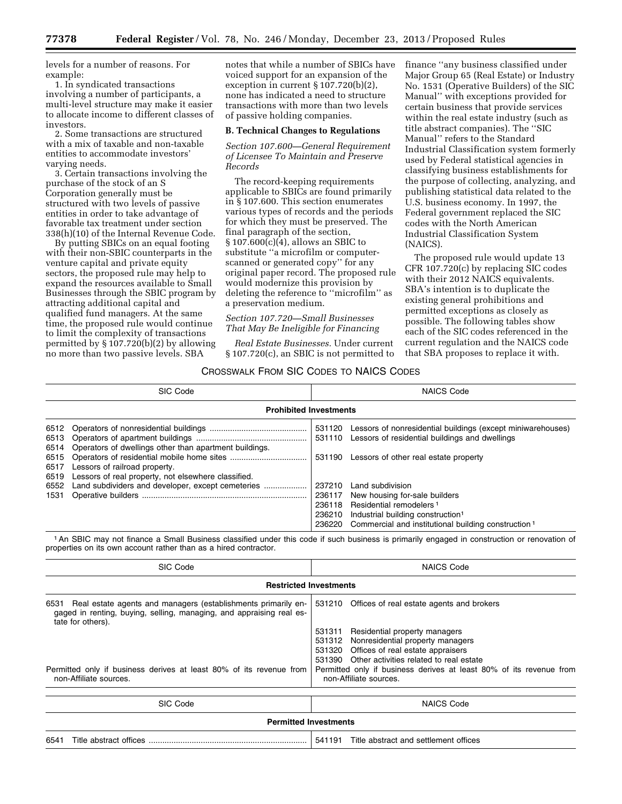levels for a number of reasons. For example:

1. In syndicated transactions involving a number of participants, a multi-level structure may make it easier to allocate income to different classes of investors.

2. Some transactions are structured with a mix of taxable and non-taxable entities to accommodate investors' varying needs.

3. Certain transactions involving the purchase of the stock of an S Corporation generally must be structured with two levels of passive entities in order to take advantage of favorable tax treatment under section 338(h)(10) of the Internal Revenue Code.

By putting SBICs on an equal footing with their non-SBIC counterparts in the venture capital and private equity sectors, the proposed rule may help to expand the resources available to Small Businesses through the SBIC program by attracting additional capital and qualified fund managers. At the same time, the proposed rule would continue to limit the complexity of transactions permitted by § 107.720(b)(2) by allowing no more than two passive levels. SBA

notes that while a number of SBICs have voiced support for an expansion of the exception in current § 107.720(b)(2), none has indicated a need to structure transactions with more than two levels of passive holding companies.

#### **B. Technical Changes to Regulations**

# *Section 107.600—General Requirement of Licensee To Maintain and Preserve Records*

The record-keeping requirements applicable to SBICs are found primarily in § 107.600. This section enumerates various types of records and the periods for which they must be preserved. The final paragraph of the section, § 107.600(c)(4), allows an SBIC to substitute ''a microfilm or computerscanned or generated copy'' for any original paper record. The proposed rule would modernize this provision by deleting the reference to ''microfilm'' as a preservation medium.

# *Section 107.720—Small Businesses That May Be Ineligible for Financing*

*Real Estate Businesses.* Under current § 107.720(c), an SBIC is not permitted to

finance ''any business classified under Major Group 65 (Real Estate) or Industry No. 1531 (Operative Builders) of the SIC Manual'' with exceptions provided for certain business that provide services within the real estate industry (such as title abstract companies). The ''SIC Manual'' refers to the Standard Industrial Classification system formerly used by Federal statistical agencies in classifying business establishments for the purpose of collecting, analyzing, and publishing statistical data related to the U.S. business economy. In 1997, the Federal government replaced the SIC codes with the North American Industrial Classification System (NAICS).

The proposed rule would update 13 CFR 107.720(c) by replacing SIC codes with their 2012 NAICS equivalents. SBA's intention is to duplicate the existing general prohibitions and permitted exceptions as closely as possible. The following tables show each of the SIC codes referenced in the current regulation and the NAICS code that SBA proposes to replace it with.

## CROSSWALK FROM SIC CODES TO NAICS CODES

| SIC Code                                                     |                                                                                                                                                                                                     | <b>NAICS Code</b>                              |                                                                                                                                                                                                                                                                                                                                                                                             |  |
|--------------------------------------------------------------|-----------------------------------------------------------------------------------------------------------------------------------------------------------------------------------------------------|------------------------------------------------|---------------------------------------------------------------------------------------------------------------------------------------------------------------------------------------------------------------------------------------------------------------------------------------------------------------------------------------------------------------------------------------------|--|
| <b>Prohibited Investments</b>                                |                                                                                                                                                                                                     |                                                |                                                                                                                                                                                                                                                                                                                                                                                             |  |
| 6512<br>6513<br>6514<br>6515<br>6517<br>6519<br>6552<br>1531 | Operators of dwellings other than apartment buildings.<br>Lessors of railroad property.<br>Lessors of real property, not elsewhere classified.<br>Land subdividers and developer, except cemeteries | 237210<br>236117<br>236118<br>236210<br>236220 | 531120 Lessors of nonresidential buildings (except miniwarehouses)<br>531110 Lessors of residential buildings and dwellings<br>531190 Lessors of other real estate property<br>Land subdivision<br>New housing for-sale builders<br>Residential remodelers <sup>1</sup><br>Industrial building construction <sup>1</sup><br>Commercial and institutional building construction <sup>1</sup> |  |

1An SBIC may not finance a Small Business classified under this code if such business is primarily engaged in construction or renovation of properties on its own account rather than as a hired contractor.

| SIC Code                                                                                                                                                           | <b>NAICS Code</b>                                                                             |  |  |  |
|--------------------------------------------------------------------------------------------------------------------------------------------------------------------|-----------------------------------------------------------------------------------------------|--|--|--|
| <b>Restricted Investments</b>                                                                                                                                      |                                                                                               |  |  |  |
| Real estate agents and managers (establishments primarily en-<br>6531<br>gaged in renting, buying, selling, managing, and appraising real es-<br>tate for others). | 531210 Offices of real estate agents and brokers                                              |  |  |  |
|                                                                                                                                                                    | Residential property managers<br>531311                                                       |  |  |  |
|                                                                                                                                                                    | Nonresidential property managers<br>531312                                                    |  |  |  |
|                                                                                                                                                                    | 531320 Offices of real estate appraisers                                                      |  |  |  |
|                                                                                                                                                                    | Other activities related to real estate<br>531390                                             |  |  |  |
| Permitted only if business derives at least 80% of its revenue from<br>non-Affiliate sources.                                                                      | Permitted only if business derives at least 80% of its revenue from<br>non-Affiliate sources. |  |  |  |
|                                                                                                                                                                    |                                                                                               |  |  |  |
| SIC Code                                                                                                                                                           | <b>NAICS Code</b>                                                                             |  |  |  |
|                                                                                                                                                                    | <b>Permitted Investments</b>                                                                  |  |  |  |
| 6541                                                                                                                                                               | 541191<br>Title abstract and settlement offices                                               |  |  |  |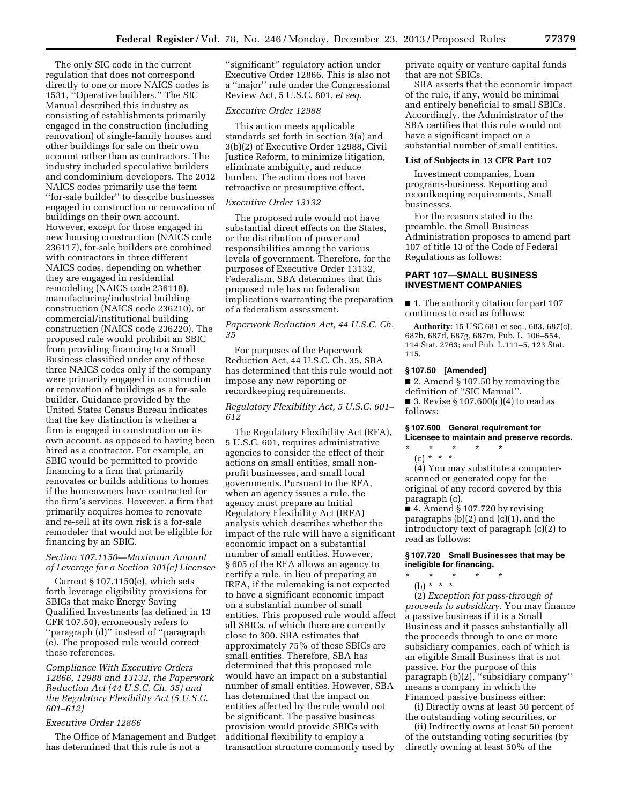The only SIC code in the current regulation that does not correspond directly to one or more NAICS codes is 1531, ''Operative builders.'' The SIC Manual described this industry as consisting of establishments primarily engaged in the construction (including renovation) of single-family houses and other buildings for sale on their own account rather than as contractors. The industry included speculative builders and condominium developers. The 2012 NAICS codes primarily use the term ''for-sale builder'' to describe businesses engaged in construction or renovation of buildings on their own account. However, except for those engaged in new housing construction (NAICS code 236117), for-sale builders are combined with contractors in three different NAICS codes, depending on whether they are engaged in residential remodeling (NAICS code 236118), manufacturing/industrial building construction (NAICS code 236210), or commercial/institutional building construction (NAICS code 236220). The proposed rule would prohibit an SBIC from providing financing to a Small Business classified under any of these three NAICS codes only if the company were primarily engaged in construction or renovation of buildings as a for-sale builder. Guidance provided by the United States Census Bureau indicates that the key distinction is whether a firm is engaged in construction on its own account, as opposed to having been hired as a contractor. For example, an SBIC would be permitted to provide financing to a firm that primarily renovates or builds additions to homes if the homeowners have contracted for the firm's services. However, a firm that primarily acquires homes to renovate and re-sell at its own risk is a for-sale remodeler that would not be eligible for financing by an SBIC.

#### *Section 107.1150—Maximum Amount of Leverage for a Section 301(c) Licensee*

Current § 107.1150(e), which sets forth leverage eligibility provisions for SBICs that make Energy Saving Qualified Investments (as defined in 13 CFR 107.50), erroneously refers to ''paragraph (d)'' instead of ''paragraph (e). The proposed rule would correct these references.

*Compliance With Executive Orders 12866, 12988 and 13132, the Paperwork Reduction Act (44 U.S.C. Ch. 35) and the Regulatory Flexibility Act (5 U.S.C. 601–612)* 

#### *Executive Order 12866*

The Office of Management and Budget has determined that this rule is not a

''significant'' regulatory action under Executive Order 12866. This is also not a ''major'' rule under the Congressional Review Act, 5 U.S.C. 801, *et seq.* 

# *Executive Order 12988*

This action meets applicable standards set forth in section 3(a) and 3(b)(2) of Executive Order 12988, Civil Justice Reform, to minimize litigation, eliminate ambiguity, and reduce burden. The action does not have retroactive or presumptive effect.

#### *Executive Order 13132*

The proposed rule would not have substantial direct effects on the States, or the distribution of power and responsibilities among the various levels of government. Therefore, for the purposes of Executive Order 13132, Federalism, SBA determines that this proposed rule has no federalism implications warranting the preparation of a federalism assessment.

#### *Paperwork Reduction Act, 44 U.S.C. Ch. 35*

For purposes of the Paperwork Reduction Act, 44 U.S.C. Ch. 35, SBA has determined that this rule would not impose any new reporting or recordkeeping requirements.

# *Regulatory Flexibility Act, 5 U.S.C. 601– 612*

The Regulatory Flexibility Act (RFA), 5 U.S.C. 601, requires administrative agencies to consider the effect of their actions on small entities, small nonprofit businesses, and small local governments. Pursuant to the RFA, when an agency issues a rule, the agency must prepare an Initial Regulatory Flexibility Act (IRFA) analysis which describes whether the impact of the rule will have a significant economic impact on a substantial number of small entities. However, § 605 of the RFA allows an agency to certify a rule, in lieu of preparing an IRFA, if the rulemaking is not expected to have a significant economic impact on a substantial number of small entities. This proposed rule would affect all SBICs, of which there are currently close to 300. SBA estimates that approximately 75% of these SBICs are small entities. Therefore, SBA has determined that this proposed rule would have an impact on a substantial number of small entities. However, SBA has determined that the impact on entities affected by the rule would not be significant. The passive business provision would provide SBICs with additional flexibility to employ a transaction structure commonly used by

private equity or venture capital funds that are not SBICs.

SBA asserts that the economic impact of the rule, if any, would be minimal and entirely beneficial to small SBICs. Accordingly, the Administrator of the SBA certifies that this rule would not have a significant impact on a substantial number of small entities.

#### **List of Subjects in 13 CFR Part 107**

Investment companies, Loan programs-business, Reporting and recordkeeping requirements, Small businesses.

For the reasons stated in the preamble, the Small Business Administration proposes to amend part 107 of title 13 of the Code of Federal Regulations as follows:

## **PART 107—SMALL BUSINESS INVESTMENT COMPANIES**

■ 1. The authority citation for part 107 continues to read as follows:

**Authority:** 15 USC 681 et seq., 683, 687(c), 687b, 687d, 687g, 687m, Pub. L. 106–554, 114 Stat. 2763; and Pub. L.111–5, 123 Stat. 115.

#### **§ 107.50 [Amended]**

■ 2. Amend § 107.50 by removing the definition of ''SIC Manual''. ■ 3. Revise §  $107.600(c)(4)$  to read as follows:

#### **§ 107.600 General requirement for Licensee to maintain and preserve records.**

# \* \* \* \* \*

(c) \* \* \* (4) You may substitute a computerscanned or generated copy for the original of any record covered by this paragraph (c).

 $\blacksquare$  4. Amend § 107.720 by revising paragraphs (b)(2) and (c)(1), and the introductory text of paragraph (c)(2) to read as follows:

# **§ 107.720 Small Businesses that may be ineligible for financing.**

- \* \* \* \* \*
	- (b) \* \* \*

(2) *Exception for pass-through of proceeds to subsidiary.* You may finance a passive business if it is a Small Business and it passes substantially all the proceeds through to one or more subsidiary companies, each of which is an eligible Small Business that is not passive. For the purpose of this paragraph (b)(2), ''subsidiary company'' means a company in which the Financed passive business either:

(i) Directly owns at least 50 percent of the outstanding voting securities, or

(ii) Indirectly owns at least 50 percent of the outstanding voting securities (by directly owning at least 50% of the